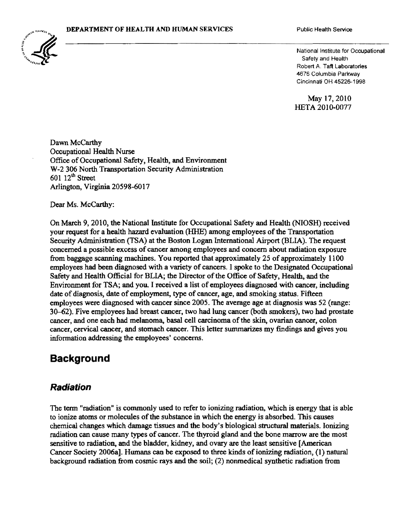

National Institute for Occupational Safety and Health Robert A. Taft Laboratories 4676 Columbia Parkway Cincinnati OH 45226-1998

May 17,2010 HETA 2010-0077

Dawn McCarthy Occupational Health Nurse Office of Occupational Safety, Health, and Environment W-2 306 North Transportation Security Administration  $60112<sup>th</sup> Street$ Arlington, Virginia 20598-6017

Dear Ms. McCarthy:

On March 9, 2010. the National Institute for Occupational Safety and Health (NIOSH) received your request for a health hazard evaluation (HHE) among employees of the Transportation Security Administration (TSA) at the Boston Logan International Airport (BLIA). The request concerned a possible excess of cancer among employees and concern about radiation exposure from baggage scanning machines. You reported that approximately 25 of approximately 1100 employees had been diagnosed with a variety of cancers. I spoke to the Designated Occupational Safety and Health Official for BLIA; the Director of the Office of Safety, Health, and the Environment for TSA; and you. I received a list ofemployees diagnosed with cancer, including date of diagnosis, date of employment, type of cancer, age, and smoking status. Fifteen employees were diagnosed with cancer since 2005. The average age at diagnosis was 52 (range: 30-62). Five employees had breast cancer, two had lung cancer (both smokers), two had prostate cancer, and one each had melanoma, basal cell carcinoma of the skin, ovarian cancer, colon cancer, cervical cancer, and stomach cancer. This letter summarizes my findings and gives you information addressing the employees' concerns.

## **Background**

### **Radiation**

The tenn "radiation" is commonly used to refer to ionizing radiation, which is energy that is able to ionize atoms or molecules ofthe substance in which the energy is absorbed. This causes chemical changes which damage tissues and the body's biological structural materials. Ionizing radiation can cause many types of cancer. The thyroid gland and the bone marrow are the most sensitive to radiation, and the bladder, kidney, and ovary are the least sensitive [American Cancer Society 2006a]. Humans can be exposed to three kinds of ionizing radiation, (1) natural background radiation from cosmic rays and the soil; (2) nonmedical synthetic radiation from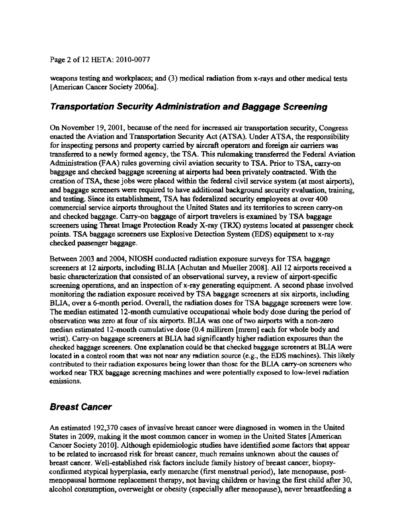Page 2 of 12 HETA: 2010-0077

weapons testing and workplaces; and (3) medical radiation from x-rays and other medical tests (American Cancer Society 2006a].

### **Transportation Security Administration and Baggage Screening**

On November 19, 2001, because of the need for increased air transportation security, Congress enacted the Aviation and Transportation Security Act (ATSA). Under ATSA, the responsibility for inspecting persons and property carried by aircraft operators and foreign air carriers was transferred to a newly fonned agency, the TSA. This rulemaking transferred the Federal Aviation Administration (FAA) rules governing civil aviation security to TSA. Prior to TSA, carry-on baggage and checked baggage screening at airports had been privately contracted. With the creation ofTSA, these jobs were placed within the federal civil service system (at most airports), and baggage screeners were required to have additional background security evaluation, training, and testing. Since its establishment, TSA has federalized security employees at over 400 commercial service airports throughout the United States and its territories to screen carry-on and checked baggage. Carry-on baggage of airport travelers is examined by TSA baggage screeners using Threat Image Protection Ready X-ray (TRX) systems located at passenger check points. TSA baggage screeners use Explosive Detection System (EDS) equipment to x-ray checked passenger baggage.

Between 2003 and 2004, NIOSH conducted radiation exposure surveys for TSA baggage screeners at 12 airports, including BLIA {Achutan and Mueller 2008]. All 12 airports received a basic characterization that consisted of an observational survey, a review of airport-specific screening operations, and an inspection of x-ray generating equipment. A second phase involved monitoring the radiation exposure received by TSA baggage screeners at six airports, including BLIA, over a 6-month period. Overall, the radiation doses for TSA baggage screeners were low. The median estimated 12-month cumulative occupational whole body dose during the period of observation was zero at four of six airports. BLIA was one oftwo airports with a non-zero median estimated 12-month cumulative dose (0.4 millirem [mrem] each for whole body and wrist). Carry-on baggage screeners at BLIA had significantly higher radiation exposures than the checked baggage screeners. One explanation could be that checked baggage screeners at BLIA were located in a control room that was not near any radiation source (e.g., the EDS machines). This likely contributed to their radiation exposures being lower than those for the BLIA carry-on screeners who worked near TRX baggage screening machines and were potentially exposed to low-level radiation emissions.

## **Breast Cancer**

An estimated 192,370 cases of invasive breast cancer were diagnosed in women in the United States in 2009, making it the most common cancer in women in the United States [American Cancer Society 2010]. Although epidemiologic studies have identified some factors that appear to be related to increased risk for breast cancer, much remains unknown about the causes of breast cancer. Well-established risk factors include family history of breast cancer, biopsyconfirmed atypical hyperplasia, early menarche (first menstrual period), late menopause, postmenopausal hormone replacement therapy. not baving children or having the first child after 30, alcohol consumption, overweight or obesity (especially after menopause), never breastfeeding a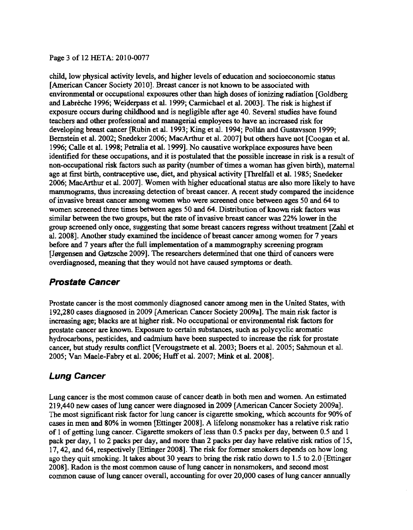#### Page 3 of 12 HETA: 2010-0077

child, low physical activity levels, and higher levels of education and socioeconomic status [American Cancer Society 2010]. Breast cancer is not known to be associated with environmental or occupational exposures other than high doses of ionizing radiation [Goldberg and Labrèche 1996; Weiderpass et al. 1999; Carmichael et al. 2003]. The risk is highest if exposure occurs during childhood and is negligible after age 40. Several studies have found teachers and other professional and managerial employees to have an increased risk for developing breast cancer [Rubin et al. 1993; King et al. 1994; Pollan and Gustavsson 1999; Bernstein et al. 2002; Snedeker 2006; MacArthur et al. 2007] but others have not [Coogan et al. 1996; Calle et al. 1998; Petralia et al. 1999]. No causative workplace exposures have been identified for these occupations, and it is postulated that the possible increase in risk is a result of non-occupational risk factors such as parity (number of times a woman has given birth), maternal age at first birth, contraceptive use, diet, and physical activity [Threlfall et al. 1985; Snedeker 2006; MacArthur et al. 2007]. Women with higher educational status are also more likely to have mammograms, thus increasing detection of breast cancer. A recent study compared the incidence of invasive breast cancer among women who were screened once between ages 50 and 64 to women screened three times between ages 50 and 64. Distribution of known risk factors was similar between the two groups, but the rate of invasive breast cancer was 22% lower in the group screened only once, suggesting that some breast cancers regress without treatment [Zahl et al. 200S]. Another study examined the incidence of breast cancer among women for 7 years before and 7 years after the full implementation of a mammography screening program [Jørgensen and Gøtzsche 2009]. The researchers determined that one third of cancers were overdiagnosed, meaning that they would not have caused symptoms or death.

### **Prostate Cancer**

Prostate cancer is the most commonly diagnosed cancer among men in the United States, with 192,2S0 cases diagnosed in 2009 [American Cancer Society 2009aJ. The main risk factor is increasing age; blacks are at higher risk. No occupational or environmental risk factors for prostate cancer are known. Exposure to certain substances, such as polycyclic aromatic hydrocarbons, pesticides, and cadmium have been suspected to increase the risk for prostate cancer, but study results conflict [Verougstraete et al. 2003; Boers et al. 2005; Sahmoun et al. 2005; Van Maele-Fabry et al. 2006; Huffet al. 2007; Mink et al. 2008].

## **Lung Cancer**

Lung cancer is the most common cause of cancer death in both men and women. An estimated 219,440 new cases of lung cancer were diagnosed in 2009 [American Cancer Society 2009a J. The most significant risk factor for lung cancer is cigarette smoking, which accounts for 90% of cases in men and SO% in women [Ettinger 2008J. A lifelong nonsmoker has a relative risk ratio of 1 of getting lung cancer. Cigarette smokers of less than 0.5 packs per day, between 0.5 and 1 pack per day, 1 to 2 packs per day, and more than 2 packs per day have relative risk ratios of 15, 17,42, and 64, respectively [Ettinger 200S]. The risk for former smokers depends on how long ago they quit smoking. It takes about 30 years to bring the risk ratio down to 1.5 to 2.0 [Ettinger 2008]. Radon is the most common cause of lung cancer in nonsmokers, and second most common cause of lung cancer overall, accounting for over 20,000 cases of lung cancer annually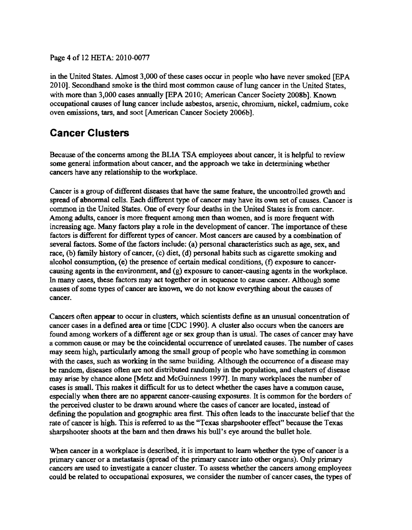Page 4 of 12 HETA: 2010-0077

in the United States. Almost 3,000 of these cases occur in people who have never smoked [EPA 2010]. Secondhand smoke is the third most common cause oflung cancer in the United States, with more than 3,000 cases annually [EPA 2010; American Cancer Society 2008b}. Known occupational causes of lung cancer include asbestos, arsenic, chromium, nickel, cadmium, coke oven emissions, tars, and soot [American Cancer Society 2006b].

# **Cancer Clusters**

Because of the concerns among the BLIA TSA employees about cancer, it is helpful to review some general information about cancer, and the approach we take in determining whether cancers have any relationship to the workplace.

Cancer is a group of different diseases that have the same feature, the uncontrolled growth and spread of abnormal cells. Each different type of cancer may have its own set of causes. Cancer is common in the United States. One of every four deaths in the United States is from cancer. Among adults, cancer is more frequent among men than women, and is more frequent with increasing age. Many factors play a role in the development of cancer. The importance of these factors is different for different types of cancer. Most cancers are caused by a combination of several factors. Some of the factors include: (a) personal characteristics such as age, sex, and race,  $(b)$  family history of cancer,  $(c)$  diet,  $(d)$  personal habits such as cigarette smoking and alcohol consumption, (e) the presence of certain medical conditions, (f) exposure to cancer· causing agents in the environment, and  $(g)$  exposure to cancer-causing agents in the workplace. In many cases, these factors may act together or in sequence to cause cancer. Although some causes of some types of cancer are known, we do not know everything about the causes of cancer.

Cancers often appear to occur in clusters, which scientists define as an unusual concentration of cancer cases in a defined area or time [CDC 1990]. A cluster also occurs when the cancers are found among workers of a different age or sex group than is usual. The cases of cancer may have a common cause. or may be the coincidental occurrence of unrelated causes. The number of cases may seem high, particularly among the small group of people who have something in common with the cases, such as working in the same building. Although the occurrence of a disease may be random, diseases often are not distributed randomly in the population, and clusters of disease may arise by chance alone [Metz and McGuinness 1997]. In many workplaces the number of cases is small. This makes it difficult for us to detect whether the cases have a common cause, especially when there are no apparent cancer-causing exposures. It is common for the borders of the perceived cluster to be drawn around where the cases of cancer are located, instead of defining the population and geographic area first. This often leads to the inaccurate beliefthat the rate of cancer is high. This is referred to as the "Texas sharpshooter effect" because the Texas sharpshooter shoots at the barn and then draws his bull's eye around the bullet hole.

When cancer in a workplace is described, it is important to learn whether the type of cancer is a primary cancer or a metastasis (spread of the primary cancer into other organs). Only primary cancers are used to investigate a cancer cluster. To assess whether the cancers among employees could be related to occupational exposures, we consider the number of cancer cases, the types of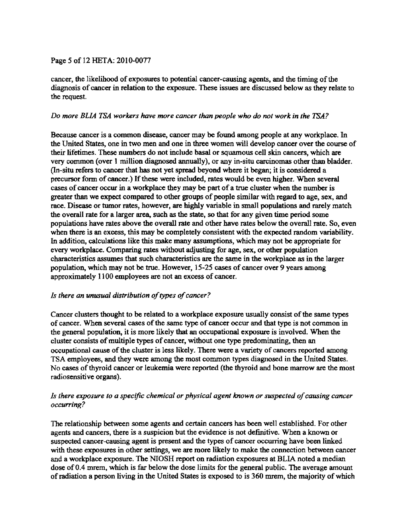#### Page 5 of 12 HETA: 2010-0077

cancer, the likelihood of exposures to potential cancer-causing agents, and the timing of the diagnosis of cancer in relation to the exposure. These issues are discussed below as they relate to the request.

#### *Do more BLIA TSA workers have more cancer than people who do not work in the TSA?*

Because cancer is a common disease, cancer may be found among people at any workplace. In the United States, one in two men and one in three women will develop cancer over the course of their lifetimes. These numbers do not include basal or squamous cell skin cancers, which are very common (over 1 million diagnosed annually), or any in-situ carcinomas other than bladder. (In-situ refers to cancer that has not yet spread beyond where it began; it is considered a precursor form of cancer.) If these were included, rates would be even higher. When several cases of cancer occur in a workplace they may be part of a true cluster when the number is greater than we expect compared to other groups of people similar with regard to age, sex, and race. Disease or tumor rates, however, are highly variable in small populations and rarely match the overall rate for a larger area, such as the state, so that for any given time period some populations have rates above the overall rate and other have rates below the overall rate. So, even when there is an excess, this may be completely consistent with the expected random variability. In addition, calculations like this make many assumptions, which may not be appropriate for every workplace. Comparing rates without adjusting for age, sex, or other population characteristics assumes that such characteristics are the same in the workplace as in the larger popUlation, which may not be true. However, 15-25 cases of cancer over 9 years among approximately 1100 employees are not an excess of cancer.

#### *Is there an unusual distribution of*types *qfcancer?*

Cancer clusters thought to be related to a workplace exposure usually consist of the same types of cancer. When several cases ofthe same type of cancer occur and that type is not cornmon in the general population, it is more likely that an occupational exposure is involved. When the cluster consists of multiple types of cancer, without one type predominating, then an occupational cause ofthe cluster is less likely. There were a variety of cancers reported among TSA employees, and they were among the most common types diagnosed in the United States. No cases of thyroid cancer or leukemia were reported (the thyroid and bone marrow are the most radiosensitive organs).

#### *Is there exposure to a specific chemical or physical agent known or suspected of causing cancer occurrinx?*

The relationship between some agents and certain cancers has been well established. For other agents and cancers, there is a suspicion but the evidence is not definitive. When a known or suspected cancer-causing agent is present and the types of cancer occwring have been linked with these exposures in other settings, we are more likely to make the connection between cancer and a workplace exposure. The NIOSH report on radiation exposures at BLIA noted a median dose of0.4 mrem, which is far below the dose limits for the general public. The average amount ofradiation a person living in the United States is exposed to is 360 mrem, the majority ofwhich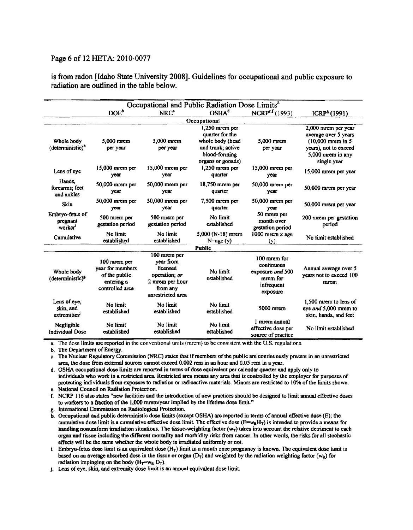#### Page 6 of 12 HETA: 2010-0077

is from radon [Idaho State University 2008]. Guidelines for occupational and public exposure to radiation are outlined in the table below.

| Occupational and Public Radiation Dose Limits <sup>a</sup> |                                                                                    |                                                                                                            |                                                                                                                    |                                                                                      |                                                                                                                                 |
|------------------------------------------------------------|------------------------------------------------------------------------------------|------------------------------------------------------------------------------------------------------------|--------------------------------------------------------------------------------------------------------------------|--------------------------------------------------------------------------------------|---------------------------------------------------------------------------------------------------------------------------------|
|                                                            | DOE <sup>b</sup>                                                                   | NRC <sup>c</sup>                                                                                           | OSHA <sup>d</sup>                                                                                                  | NCRP <sup>e.f</sup> (1993)                                                           | ICRP <sup>8</sup> (1991)                                                                                                        |
| Occupational                                               |                                                                                    |                                                                                                            |                                                                                                                    |                                                                                      |                                                                                                                                 |
| Whole body<br>(deterministic) <sup>n</sup>                 | $5,000$ mrcm<br>per year                                                           | $5.000$ mrem<br>per year                                                                                   | $1,250$ mrem per<br>quarter for the<br>whole body (head<br>and trunk; active<br>blood-forming<br>organs or gonads) | $5.000$ mrcm<br>per year                                                             | 2,000 mrem per year<br>average over 5 years<br>$(10,000$ mrem in 5<br>years), not to exceed<br>5,000 mrem in any<br>single year |
| Lens of eye                                                | $15,000$ mrem per<br>vear                                                          | 15,000 mrem per<br>year                                                                                    | $1,250$ mrem per<br>quarter                                                                                        | 15,000 mrem per<br>year                                                              | 15,000 morem per year                                                                                                           |
| Hands,<br>forearms; feet<br>and ankles                     | $50,000$ mrem per<br>year                                                          | 50,000 mrem per<br>vear                                                                                    | $18,750$ mrem per<br>quarter                                                                                       | 50,000 mrem per<br>year                                                              | 50,000 mrem per year                                                                                                            |
| Skin                                                       | $50,000$ mrem per<br>year                                                          | 50,000 mrem per<br>year                                                                                    | $7,500$ mrem per<br>quarter                                                                                        | 50,000 mrem per<br>year                                                              | 50,000 mrem per year                                                                                                            |
| Embryo-fetus of<br>pregnant<br>worker                      | 500 mrem per<br>gestation period                                                   | 500 morem per<br>gestation period                                                                          | No limit<br>established                                                                                            | 50 mrem per<br>month over<br>gestation period                                        | 200 mrem per gestation<br>period                                                                                                |
| Cumulative                                                 | No limit<br>established                                                            | No limit<br>established                                                                                    | $5,000$ (N-18) mrem<br>$N = age(y)$                                                                                | $1000$ mrem $x$ age<br>(v)                                                           | No limit established                                                                                                            |
| Public                                                     |                                                                                    |                                                                                                            |                                                                                                                    |                                                                                      |                                                                                                                                 |
| Whole body<br>(deterministic) <sup>8</sup>                 | 100 mrem per<br>year for members<br>of the public<br>entering a<br>controlled area | 100 mrem per<br>year from<br>licensed<br>operation; or<br>2 mrem per hour<br>from any<br>unrestricted area | No limit<br>established                                                                                            | 100 mrcm for<br>continuous<br>exposure and 500<br>mrem for<br>infrequent<br>exposure | Annual average over 5<br>years not to exceed 100<br>mrem                                                                        |
| Lens of eye,<br>skin, and<br>extremities                   | No limit<br>established                                                            | No limit<br>established                                                                                    | No limit<br>established                                                                                            | $5000$ mrem                                                                          | 1.500 movem to lens of<br>eye and 5,000 mrem to<br>skin, hands, and feet                                                        |
| Negligible<br><b>Individual Dose</b>                       | No limit<br>established                                                            | No limit<br>established                                                                                    | No limit<br>established                                                                                            | 1 mrem annual<br>effective dose per<br>source of practice                            | No limit established                                                                                                            |

a. The dose limits are reported in the conventional units (mrem) to be consistent with the U.S. regulations.

b. The Department of Energy.

c. The Nuclear Regulatory Commission (NRC) states that if members of the public are continuously present in an unrestricted area, the dose from external sources cannot exceed 0.002 rem in an hour and 0.05 rem in a year.

d. OSHA occupational dose limits are reported in terms of dose equivalent per calendar quarter and apply only to individuals who work in a restricted area. Restricted area means any area that is controlled by the employer for purposes of protecting individuals from exposure to radiation or radioactive materials. Minors are restricted to 10% of the limits shown. e. National Council on Radiation Protection.

f. NCRP 116 also states "new facilities and the introduction of new practices sbould be designed to limit annual effective doses to workers to a fraction of the 1,000 mrem/year implied by the lifetime dose limit."

g. International Commission on Radiological Protection.

h. Occupational and public deterministic dose limits (except OSHA) are reported in terms of annual effective dose (E); the cumulative dose limit is a cumulative effective dose limit. The effective dose  $(E=w_RH_T)$  is intended to provide a means for handling nonuniform irradiation situations. The tissue-weighting factor  $(w<sub>T</sub>)$  takes into account the relative detriment to each organ and tissue including the different mortality and morbidity risks from cancer. In other words, the risks for all stocbastic effects will be the same whether the whole body is irradiated uniformly or not.

i. Embryo-fetus dose limit is an equivalent dose  $(H_T)$  limit in a month once pregnancy is known. The equivalent dose limit is based on an average absorbed dose in the tissue or organ  $(D_T)$  and weighted by the radiation weighting factor (w<sub>R</sub>) for radiation impinging on the body ( $H_T=w_R D_T$ ).

j. Lens of eye, skin, and extremity dose limit is an annual equivalent dose limit.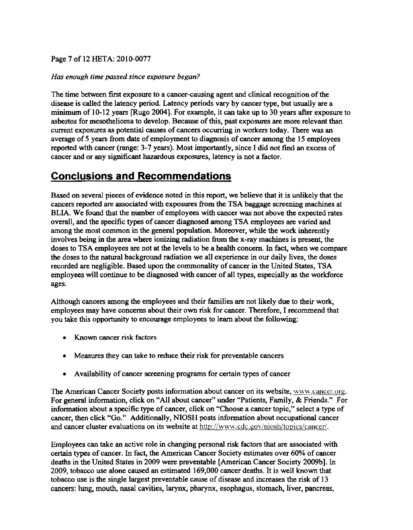#### Page 7 of 12 HETA: 2010-0077

#### Has enough time passed since exposure began?

The time between first exposure to a cancer-causing agent and clinical recognition of the disease is called the latency period. Latency periods vary by cancer type, but usually are a minimum of 10-12 years [Rugo 2004]. For example, it can take up to 30 years after exposure to asbestos for mesothelioma to develop. Because of this, past exposures are more relevant than current exposures as potential causes of cancers occurring in workers today. There was an average of 5 years from date of employment to diagnosis of cancer among the 15 employees reported with cancer (range: 3-7 years). Most importantly, since I did not find an excess of cancer and or any significant hazardous exposures, latency is not a factor.

## **Conclusions and Recommendations**

Based on several pieces of evidence noted in this report, we believe that it is unlikely that the cancers reported are associated with exposures from the TSA baggage screening machines at BLIA. We found that the number of employees with cancer was not above the expected rates overall, and the specific types of cancer diagnosed among TSA employees are varied and among the most common in the general population. Moreover, while the work inherently involves being in the area where ionizing radiation from the x-ray machines is present, the doses to TSA employees are not at the levels to be a health concern. In fact, when we compare the doses to the natural background radiation we alJ experience in our daily lives, the doses recorded are negligible. Based upon the commonality of cancer in the United States, TSA employees will continue to be diagnosed with cancer of all types, especially as the workforce ages.

Although cancers among the employees and their families are not likely due to their work, employees may have concerns about their own risk for cancer. Therefore, I recommend that you take this opportunity to encourage employees to learn about the following:

- Known cancer risk factors
- Measures they can take to reduce their risk for preventable cancers
- Availability of cancer screening programs for certain types of cancer

The American Cancer Society posts information about cancer on its website, www.cancer.org. For general information, click on "All about cancer" under "Patients, Family, & Friends." For information about a specific type of cancer, click on "Choose a cancer topic," select a type of cancer, then click "Go." Additionally, NIOSH posts information about occupational cancer and cancer cluster evaluations on its website at http://www.cdc.gov/niosh/topics/cancer/.

Employees can take an active role in changing personal risk factors that are associated with certain types of cancer. In fact, the American Cancer Society estimates over 60% of cancer deaths in the United States in 2009 were preventable [American Cancer Society 2009b]. In 2009, tobacco use alone caused an estimated 169,000 cancer deaths. It is well known that tobacco use is the single largest preventable cause of disease and increases the risk of 13 cancers: lung, mouth, nasal cavities, larynx, pharynx, esophagus, stomach, liver, pancreas,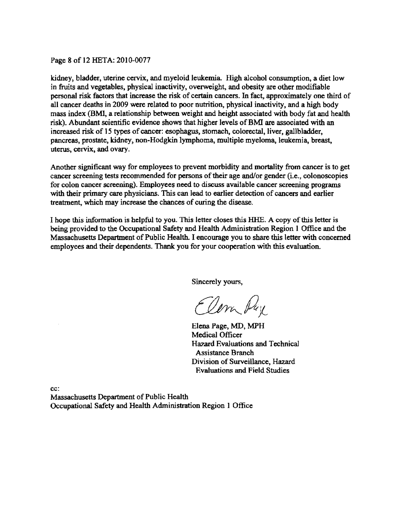#### Page 8 of 12 RETA: 2010-0077

kidney, bladder, uterine cervix, and myeloid leukemia. High alcohol consumption, a diet low in fruits and vegetables, physical inactivity, overweight, and obesity are other modifiable personal risk factors that increase the risk of certain cancers. In fact, approximately one third of all cancer deaths in 2009 were related to poor nutrition, physical inactivity, and a high body mass index (BMI, a relationship between weight and height associated with body fat and health risk). Abundant scientific evidence shows that higher levels of BMI are associated with an increased risk of 15 types of cancer: esophagus, stomach, colorectal, liver, gallbladder, pancreas, prostate, kidney, non-Hodgkin lymphoma, mUltiple myeloma, leukemia, breast, uterus, cervix, and ovary.

Another significant way for employees to prevent morbidity and mortality from cancer is to get cancer screening tests recommended for persons of their age and/or gender (i.e., colonoscopies for colon cancer screening). Employees need to discuss available cancer screening programs with their primary care physicians. This can lead to earlier detection of cancers and earlier treatment, which may increase the chances of curing the disease.

I hope this information is helpful to you. This letter closes this lflffi. A copy ofthis letter is being provided to the Occupational Safety and Health Administration Region 1 Office and the Massachusetts Department of Public Health. I encourage you to share this letter with concerned employees and their dependents. Thank you for your cooperation with this evaluation.

Sincerely yours,

Elem Pay

Elena Page, MD, MPH Medical Officer Ha7ard Evaluations and Technical Assistance Branch Division of Surveillance, Hazard Evaluations and Field Studies

cc:

Massachusetts Department of Public Health Occupational Safety and Health Administration Region 1 Office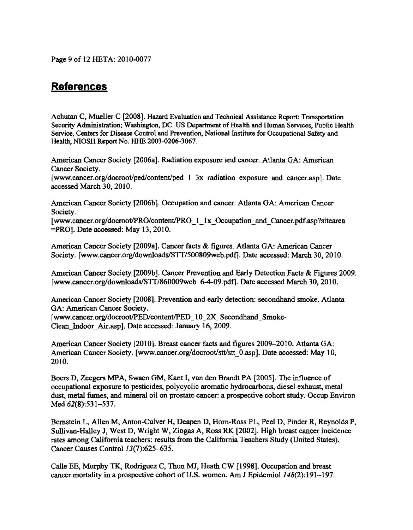Page 9 of 12 HETA: 20ID-0077

## **References**

Achutan C, Mueller C [2008]. Hazard Evaluation and Technical Assistance Report: Transportation Security Administration; Washington, DC. US Department of Health and Human Services, Public HeaJth Service, Centers for Disease Control and Prevention, National Institute for Occupational Safety and Health. NIOSH Report No. HHE 2003-0206-3067.

American Cancer Society [2006a]. Radiation exposure and cancer. Atlanta GA: American Cancer Society.

[www.cancer.org/docroot/ped/content/ped I 3x radiation exposure and cancer.asp]. Date accessed March 30,2010.

American Cancer Society [2006b]. Occupation and cancer. Atlanta GA: American Cancer Society.

[www.cancer.org/docroot/PRO/content/PRO\_1\_1x\_Occupation\_and\_Cancer.pdf.asp?sitearea =PRO]. Date accessed: May l3, 2010.

American Cancer Society [2009a]. Cancer facts & figures. Atlanta GA: American Cancer Society. [www.cancer.org/downloads/STT/500809web.pdf]. Date accessed: March 30, 2010.

American Cancer Society [2009b]. Cancer Prevention and Early Detection Facts & Figures 2009. [www.cancer.orgldownloadslSTI/860009web 6-4-09.pdfJ. Date accessed March 30, 20ID.

American Cancer Society [2008]. Prevention and early detection: secondhand smoke. Atlanta GA: American Cancer Society.

[www.cancer.org/docroot/PED/content/PED\_10\_2X\_Secondhand\_Smoke-Clean\_Indoor\_Air.asp]. Date accessed: January 16,2009.

American Cancer Society [2010]. Breast cancer facts and figures 2009-2010. Atlanta GA: American Cancer Society. [www.cancer.org/docroot/stt/stt\_0.asp]. Date accessed: May 10, 2010.

Boers D, Zeegers MPA., Swaen GM, Kant I, van den Brandt PA [2005]. The influence of occupational exposure to pesticides, polycyclic aromatic hydrocarbons, diesel exhaust, metal dust, metal fumes, and mineral oil on prostate cancer: a prospective cohort study. Occup Environ Med 62(8):531-537.

Bernstein L. Allen M, Anton-Culver H, Deapen D, Hom-Ross PL, Peel D, Pinder R, Reynolds p. Sullivan-Halley J, West D, Wright W, Ziogas A, Ross RK [2002]. High breast cancer incidence rates among California teachers: results from the California Teachers Study (United States). Cancer Causes Control 13(7):625-635.

Calle EE, Murphy TK, Rodriguez C, Thun MJ, Heath CW [1998]. Occupation and breast cancer mortality in a prospective cohort of U.S. women. Am J Epidemiol  $148(2):191-197$ .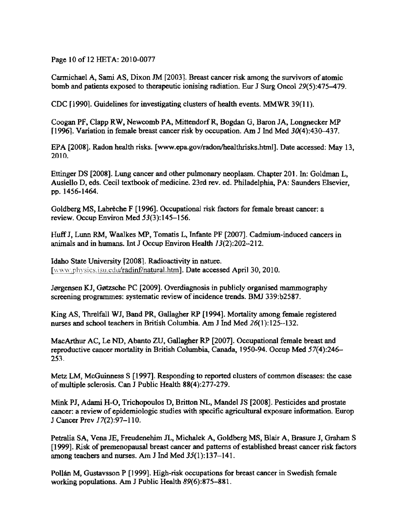Page 10 of 12 HETA: 2010-0077

Carmichael A, Sami AS, Dixon *JM* [2003]. Breast cancer risk among the survivors of atomic bomb and patients exposed to therapeutic ionising radiation. Eur J Surg OncoI29(5):475-479.

CDC fl9901. Guidelines for investigating clusters of health events. MMWR 39(11).

Coogan PF, Clapp RW, Newcomb PA, MittendorfR, Bogdan 0, Baron JA, Longnecker MP [1996]. Variation in female breast cancer risk by occupation. Am J Ind Med  $30(4)$ : 430-437.

EPA [2008]. Radon health risks. [www.epa.gov/radonlhealthrisks.html]. Date accessed: May 13, 2010.

Ettinger DS [2008]. Lung cancer and other pulmonary neoplasm. Chapter 201. In: Goldman L. Ausiello D, eds. Cecil textbook of medicine. 23rd rev. ed. Philadelphia, PA: Saunders Elsevier, pp. 1456-1464.

Goldberg MS, Labreche F [1996]. Occupational risk factors for female breast cancer: a review. Occup Environ Med 53(3):145-156.

HuffJ, Lunn RM, Waalkes MP, Tomatis L, Infante PF [2007]. Cadmium-induced cancers in animals and in humans. Int J Occup Environ Health /3(2):202-212.

Idaho State University [2008]. Radioactivity in nature. [www.physics.isu.edu/radinf/natural.htm]. Date accessed April 30, 2010.

Jørgensen KJ, Gøtzsche PC [2009]. Overdiagnosis in publicly organised mammography screening programmes: systematic review of incidence trends. BMJ 339:b2587.

King AS, Threlfall WJ, Band PR, Gallagher RP [1994]. Mortality among female registered nurses and school teachers in British Columbia. Am J Ind Med 26(1):125-132.

MacArthur AC, Le ND, Abanto ZU, Gallagher RP [2007]. Occupational female breast and reproductive cancer mortality in British Columbia, Canada, 1950-94. Occup Med 57(4):246 253.

Metz LM, McGuinness S [1997]. Responding to reported clusters of common diseases: the case ofmultiple sclerosis. Can J Public Health 88(4):277-279.

Mink PJ, Adami H-O, Trichopoulos D, Britton NL, Mandel JS [2008]. Pesticides and prostate cancer: a review of epidemiologic studies with specific agricultural exposure information. Europ J Cancer Prev 17(2):97-110.

Petralia SA, Vena JE, Freudenehim JL, Michalek A, Goldberg MS, Blair A, Brasure J, Graham S [1999]. Risk of premenopausal breast cancer and patterns of established breast cancer risk factors among teachers and nurses. Am J Ind Med 35(1):137-141.

Pollán M, Gustavsson P [1999]. High-risk occupations for breast cancer in Swedish female working populations. Am J Public Health 89(6):875-881.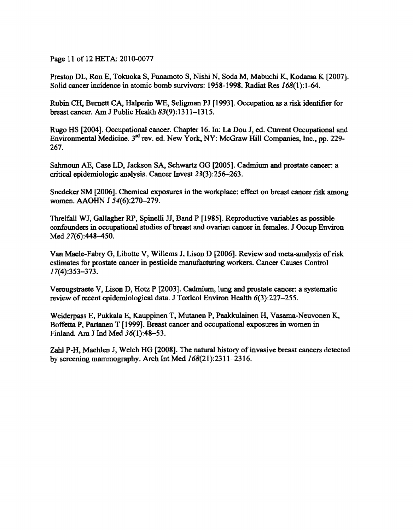Page 11 of 12 HETA: 2010-0077

Preston DL, Ron E, Tokuoka S, Funamoto S, Nishi N, Soda M, Mabuchi K, Kodama K [2007]. Solid cancer incidence in atomic bomb survivors: 1958-1998. Radiat Res 168(1):1-64.

Rubin CH, Burnett CA, Halperin WE, Seligman PJ [1993]. Occupation as a risk identifier for breast cancer. Am J Public Health 83(9): 1311-1315.

Rugo HS [2004]. Occupational cancer. Chapter 16. In: La Dou J, ed. Current Occupational and Environmental Medicine. 3<sup>rd</sup> rev. ed. New York, NY: McGraw Hill Companies, Inc., pp. 229-267.

Sahmoun AE, Case LD, Jackson SA, Schwartz GO [2005]. Cadmium and prostate cancer: a critical epidemiologic analysis. Cancer Invest 23(3):256-263.

Snedeker SM [2006]. Chemical exposures in the workplace: effect on breast cancer risk among women. AAOHN J 54(6):270-279.

Threlfall WJ, Gallagher RP, Spinelli JJ, Band P [1985]. Reproductive variables as possible confounders in occupational studies of breast and ovarian cancer in females. J Occup Environ Med 27(6):448-450.

Van Maele-Fabry G, Libotte V, Willems J, Lison D [2006]. Review and meta-analysis ofrisk estimates for prostate cancer in pesticide manufacturing workers. Cancer Causes Control 17(4):353-373.

Verougstraete V, Lison D, Hotz P [2003]. Cadmium, lung and prostate cancer: a systematic review of recent epidemiological data. J Toxicol Environ Health  $6(3):227-255$ .

Weiderpass E, Pukkaia E, Kauppinen T, Mutanen P, Paakkulainen H, Vasama-Neuvonen K, Boffetta P, Partanen T [1999]. Breast cancer and occupational exposures in women in Finland. Am J Ind Med 36(1):48-53.

Zahl P-H, Maehlen J, Welch HG [2008]. The natural history of invasive breast cancers detected by screening mammography. Arch Int Med 168(21 ):2311-2316.